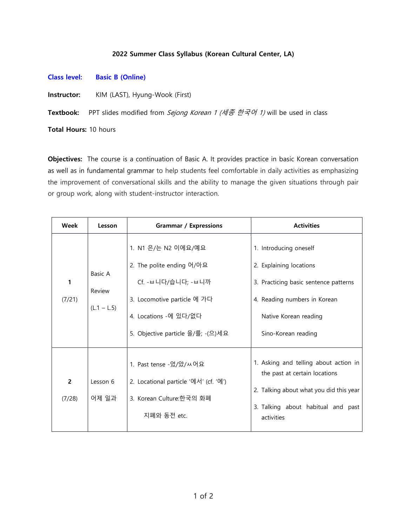## 2022 Summer Class Syllabus (Korean Cultural Center, LA)

Class level: Basic B (Online)

Instructor: KIM (LAST), Hyung-Wook (First)

Textbook: PPT slides modified from Sejong Korean 1 (세종 한국어 1) will be used in class

Total Hours: 10 hours

Objectives: The course is a continuation of Basic A. It provides practice in basic Korean conversation as well as in fundamental grammar to help students feel comfortable in daily activities as emphasizing the improvement of conversational skills and the ability to manage the given situations through pair or group work, along with student-instructor interaction.

| Week        | Lesson                             | <b>Grammar / Expressions</b>                                                                                                                                       | <b>Activities</b>                                                                                                                                                          |
|-------------|------------------------------------|--------------------------------------------------------------------------------------------------------------------------------------------------------------------|----------------------------------------------------------------------------------------------------------------------------------------------------------------------------|
| 1<br>(7/21) | Basic A<br>Review<br>$(L.1 - L.5)$ | 1. N1 은/는 N2 이에요/예요<br>2. The polite ending 어/아요<br>Cf.-ㅂ니다/습니다;-ㅂ니까<br>3. Locomotive particle 에 가다<br>4. Locations -에 있다/없다<br>5. Objective particle 을/를; - (으)세요 | 1. Introducing oneself<br>2. Explaining locations<br>3. Practicing basic sentence patterns<br>4. Reading numbers in Korean<br>Native Korean reading<br>Sino-Korean reading |
| 2<br>(7/28) | Lesson 6<br>어제 일과                  | 1. Past tense -었/았/ㅆ어요<br>2. Locational particle '에서' (cf. '에')<br>3. Korean Culture:한국의 화폐<br>지폐와 동전 etc.                                                         | 1. Asking and telling about action in<br>the past at certain locations<br>2. Talking about what you did this year<br>3. Talking about habitual and past<br>activities      |